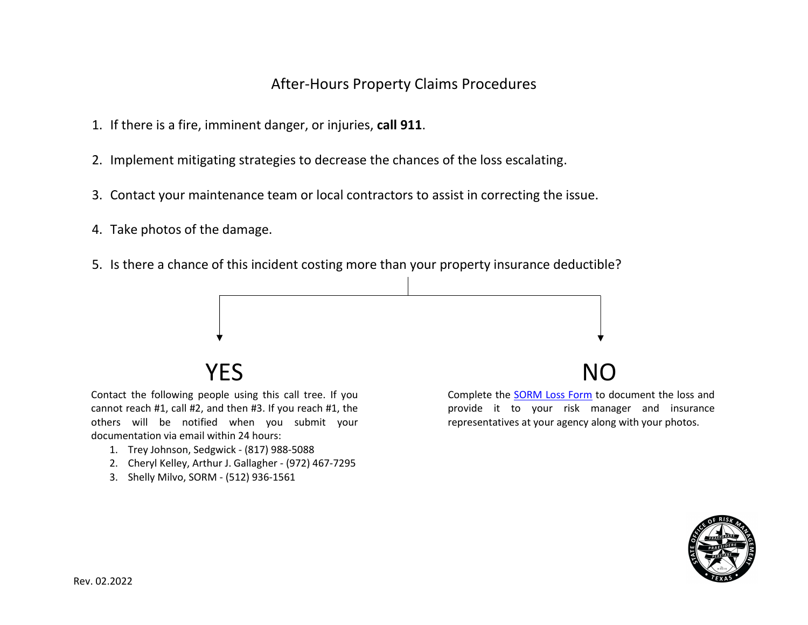# After-Hours Property Claims Procedures

- 1. If there is a fire, imminent danger, or injuries, **call 911**.
- 2. Implement mitigating strategies to decrease the chances of the loss escalating.
- 3. Contact your maintenance team or local contractors to assist in correcting the issue.
- 4. Take photos of the damage.
- 5. Is there a chance of this incident costing more than your property insurance deductible?



Contact the following people using this call tree. If you cannot reach #1, call #2, and then #3. If you reach #1, the others will be notified when you submit your documentation via email within 24 hours:

- 1. Trey Johnson, Sedgwick (817) 988-5088
- 2. Cheryl Kelley, Arthur J. Gallagher (972) 467-7295
- 3. Shelly Milvo, SORM (512) 936-1561



Complete the [SORM Loss Form](https://www.sorm.state.tx.us/wp-content/uploads/2022/02/Loss-Report-Form-fillable.pdf) to document the loss and provide it to your risk manager and insurance representatives at your agency along with your photos.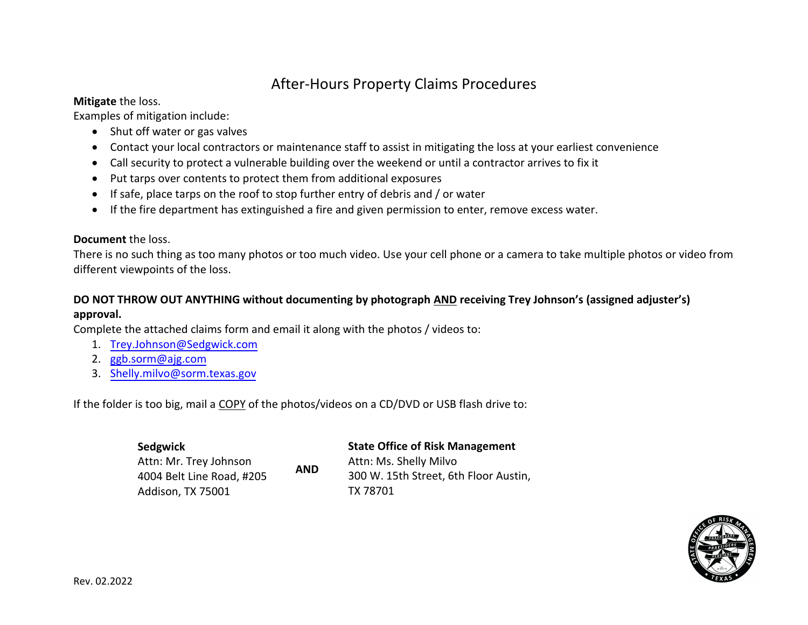# After-Hours Property Claims Procedures

### **Mitigate** the loss.

Examples of mitigation include:

- Shut off water or gas valves
- Contact your local contractors or maintenance staff to assist in mitigating the loss at your earliest convenience
- Call security to protect a vulnerable building over the weekend or until a contractor arrives to fix it
- Put tarps over contents to protect them from additional exposures
- If safe, place tarps on the roof to stop further entry of debris and / or water
- If the fire department has extinguished a fire and given permission to enter, remove excess water.

### **Document** the loss.

There is no such thing as too many photos or too much video. Use your cell phone or a camera to take multiple photos or video from different viewpoints of the loss.

## **DO NOT THROW OUT ANYTHING without documenting by photograph AND receiving Trey Johnson's (assigned adjuster's)**

## **approval.**

Complete the attached claims form and email it along with the photos / videos to:

- 1. [Trey.Johnson@Sedgwick.com](mailto:trey.johnson@sedgwick.com)
- 2. [ggb.sorm@ajg.com](mailto:SCclaims@ajg.com)
- 3. [Shelly.milvo@sorm.texas.gov](mailto:shelly.milvo@sorm.texas.gov)

If the folder is too big, mail a COPY of the photos/videos on a CD/DVD or USB flash drive to:

**AND**

**Sedgwick** Attn: Mr. Trey Johnson 4004 Belt Line Road, #205 Addison, TX 75001

**State Office of Risk Management**  Attn: Ms. Shelly Milvo 300 W. 15th Street, 6th Floor Austin, TX 78701